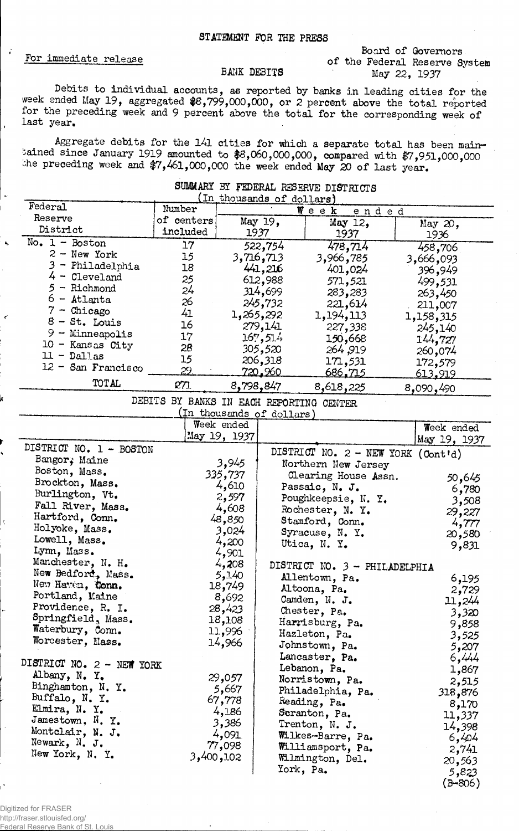### STATEMENT FOR THE PRESS

## For immediate release

 $\ddot{i}$ 

#### Board of Governors of the Federal Reserve System May 22, 1937

Johnstown, Pa. 5,207 Lancaster, Pa. 6,444 Lebanon, Pa.  $1,867$ Norristown, Pa. 2,515 Philadelphia, Pa. 318,876 Reading, Pa. 8,170  $Sernaton, Pa.$  11,337 Trenton, N. J.  $14,398$ Wilkes-Barre, Pa. 6,404 Williamsport, Pa. 2.741 Williamsport, Pa. 2,741<br>Wilmington, Del. 20,563 York, Pa.  $5,823$ 

 $(B - 806)$ 

#### BANK DEBITS

Debits to individual accounts, as reported by banks in leading cities for the week ended May 19, aggregated  $88,799,000,000$ , or 2 percent above the total reported for the preceding week and 9 percent above the total for the corresponding week of last year.

Aggregate debits for the 141 cities for which a separate total has been maintained since January 1919 amounted to #8,060,000,000, compared with \$7,951,000,000 che preceding week and #7,461,000,000 the week ended May 20 of last year.

| SUMMARY BY FEDERAL RESERVE DISTRICTS |                                          |                           |                           |                                    |            |                |  |
|--------------------------------------|------------------------------------------|---------------------------|---------------------------|------------------------------------|------------|----------------|--|
| Federal                              |                                          | (In thousands of dollars) |                           |                                    |            |                |  |
|                                      | Number                                   | Week<br>ended             |                           |                                    |            |                |  |
| Reserve<br>District                  | of centers                               |                           | May 19,                   | May 12,                            |            | May 20,        |  |
|                                      | included                                 |                           | 1937                      | 1937                               |            | 1936           |  |
| No. $1 -$ Boston                     | 17                                       |                           | 522,754                   | 478,714                            |            | 458,706        |  |
| $2 - New York$                       | 15                                       |                           | 3,716,713                 | 3,966,785                          |            | 3,666,093      |  |
| 3 - Philadelphia                     | 18                                       |                           | 441,216                   | 401,024                            |            | 396,949        |  |
| $4 -$ Cleveland                      | 25                                       |                           | 612,988                   | 571,521                            |            | 499,531        |  |
| $5 -$ Richmond                       | 24                                       |                           | 314,699                   | 283,283                            |            | 263,450        |  |
| $6 -$ Atlanta                        | 26                                       |                           | 245,732                   | 221,614                            |            | 211,007        |  |
| $7 -$ Chicago                        | 41                                       |                           | 1,265,292                 | 1,194,113                          |            | 1,158,315      |  |
| $8 - St.$ Louis                      | 16                                       |                           | 279,141                   | 227,338                            |            | 245,140        |  |
| $9 -$ Minneapolis                    | 17                                       |                           | 167,514                   | 150,668                            |            | 144,727        |  |
| 10 - Kansas City                     | 28                                       |                           | 305,520                   | 264,919                            |            | 260,074        |  |
| $11 - 211$ as                        | 15                                       |                           | 206,318                   | 171,531                            |            | 172,579        |  |
| $12 -$ San Francisco                 | 29                                       |                           | <u>720.960</u>            | <u>686,715</u>                     |            | <u>613,919</u> |  |
| TOTAL                                | 271                                      | 8,798,847                 |                           | 8,618,225                          |            | 8,090,490      |  |
|                                      | DEBITS BY BANKS IN EACH REPORTING CENTER |                           |                           |                                    |            |                |  |
|                                      |                                          |                           | (In thousands of dollars) |                                    |            |                |  |
|                                      | Week ended                               |                           |                           |                                    | Week ended |                |  |
|                                      |                                          | May 19, 1937              |                           |                                    |            | May 19, 1937   |  |
| DISTRICT NO. 1 - BOSTON              |                                          |                           |                           | DISTRICT NO. 2 - NEW YORK (Cont'd) |            |                |  |
| Bangor; Maine                        |                                          | 3,945                     |                           | Northern New Jersey                |            |                |  |
| Boston, Mass.                        |                                          | 335,737                   |                           | Clearing House Assn.               |            |                |  |
| Brockton, Mass.                      |                                          | 4,610                     |                           | Passaic, N.J.                      |            | 50,645         |  |
| Burlington, Vt.                      |                                          | 2,597                     |                           | Poughkeepsie, N. Y.                |            | 6,780          |  |
| Fall River, Mass.                    |                                          | 4,608                     |                           | Rochester, N.Y.                    |            | 3,508          |  |
| Hartford, Conn.                      |                                          | 48,850                    |                           | Stamford, Conn.                    |            | 29,227         |  |
| Holyoke, Mass.                       |                                          | 3,024                     |                           | Syracuse, N. Y.                    |            | 4,777          |  |
| Lowell, Mass.                        |                                          | 4,200                     |                           | Utica, N. Y.                       |            | 20,580         |  |
| Lynn, Mass.                          |                                          | 4,901                     |                           |                                    |            | 9,831          |  |
| Manchester, N. H.                    |                                          | 4,208                     |                           | DISTRICT NO. 3 - PHILADELPHIA      |            |                |  |
| New Bedford, Mass.                   |                                          | 5,140                     |                           | Allentown, Pa.                     |            | 6,195          |  |
| New Haven, Conn.                     |                                          | 18,749                    |                           | Altoona, Pa.                       |            | 2,729          |  |
| Portland, Maine                      |                                          | 8,692                     |                           | Camden, N. J.                      |            | 11,244         |  |
| Providence, R. I.                    |                                          | 28,423                    |                           | Chester, Pa.                       |            | 3,320          |  |
| Springfield, Mass.                   |                                          | 18,108                    |                           | Harrisburg, Pa.                    |            | 9,858          |  |
| Waterbury, Conn.                     |                                          | 11,996                    |                           | Hazleton, Pa.                      |            | 3,525          |  |
| Worcester, Nass.                     |                                          | 14,966                    |                           | Johnstown, Pa.                     |            | 5.207          |  |

29,057 5,667 67,778 4,186 3,386 4,091 77,098 3,400,102

# Digitized for FRASER

DISTRICT NO, 2 - NEW YORK

Albany, N, Y, Binghamton, N. Y. Buffalo, N. Y. Elmira, N. Y, Jamestown, N. Y. Montclair, N. J, Newark, N. j. New York, N. Y.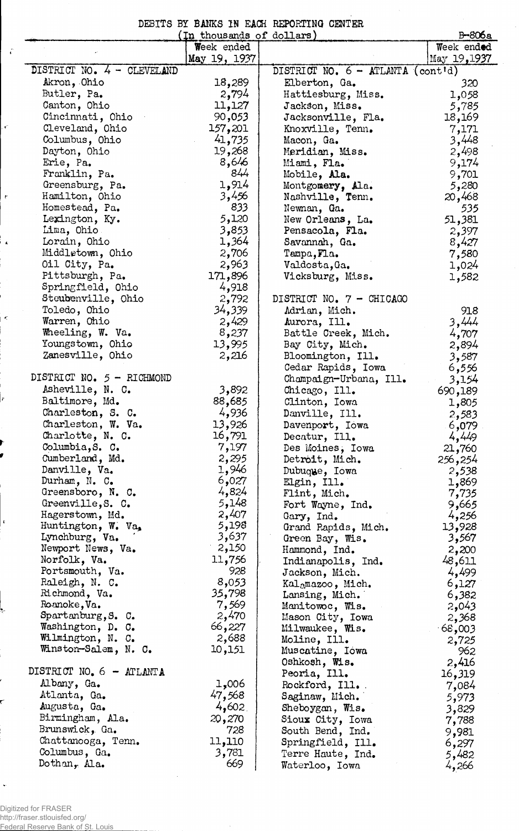DEBITS BY BANKS IN EACH REPORTING CENTER

| $B - 806a$<br>In thousands of dollars) |                |                                   |              |  |  |  |
|----------------------------------------|----------------|-----------------------------------|--------------|--|--|--|
|                                        | Week ended     |                                   | Week ended   |  |  |  |
|                                        | May 19, 1937   |                                   | May 19, 1937 |  |  |  |
| DISTRICT NO. 4 - CLEVELAND             |                | DISTRICT NO. 6 - ATLANTA (cont'd) |              |  |  |  |
| Akron, Ohio                            | 18,289         | Elberton, Ga.                     | 320          |  |  |  |
| Butler, Pa.                            | 2,794          | Hattiesburg, Miss.                | 1,058        |  |  |  |
| Canton, Ohio                           | 11,127         | Jackson, Miss.                    | 5,785        |  |  |  |
| Cincinnati, Ohio                       | 90,053         | Jacksonville, Fla.                | 18,169       |  |  |  |
| Cleveland, Ohio                        | 157,201        | Knoxville, Tenn.                  | 7,171        |  |  |  |
| Columbus, Ohio                         | 41,735         | Macon, Ga.                        | 3,448        |  |  |  |
| Dayton, Ohio                           | 19,268         | Meridian, Miss.                   | 2,498        |  |  |  |
| Erie, Pa.                              | 8,646          | Miami, Fla.                       | 9,174        |  |  |  |
| Franklin, Pa.                          | 844            | Mobile, Ala.                      | 9,701        |  |  |  |
| Greensburg, Pa.                        | 1,914          | Montgomery, Ala.                  | 5,280        |  |  |  |
| Hamilton, Ohio                         | 3,456          | Nashville, Tenn.                  | 20,468       |  |  |  |
| Homestead, Pa.                         | 833            | Newnan, Ga.                       | 535          |  |  |  |
| Lexington, Ky.                         | 5,120          | New Orleans, La.                  | 51,381       |  |  |  |
| Lima, Ohio                             | 3,853          | Pensacola, Fla.                   | 2,397        |  |  |  |
| Lorain, Ohio                           | 1,364          | Savannah, Ga.                     | 8,427        |  |  |  |
| Middletown, Ohio                       | 2,706          | Tampa, Fla.                       | 7,580        |  |  |  |
| Oil City, Pa.                          | 2,963          | Valdosta, Ga.                     | 1,024        |  |  |  |
| Pittsburgh, Pa.                        | 171,896        | Vicksburg, Miss.                  | 1,582        |  |  |  |
| Springfield, Ohio                      | 4,918          |                                   |              |  |  |  |
| Steubenville, Ohio                     | 2,792          | DISTRICT NO. 7 - CHICAGO          |              |  |  |  |
| Toledo, Ohio                           | 34,339         | Adrian, Mich.                     | 918          |  |  |  |
| Warren, Ohio                           | 2,429          | Aurora, Ill.                      | 3,444        |  |  |  |
| Wheeling, W. Va.                       | 8,237          | Battle Creek, Mich.               |              |  |  |  |
| Youngstown, Ohio                       | 13,995         | Bay City, Mich.                   | 4,707        |  |  |  |
| Zanesville, Ohio                       |                |                                   | 2,894        |  |  |  |
|                                        | 2,216          | Bloomington, Ill.                 | 3,587        |  |  |  |
| DISTRICT NO. 5 - RICHMOND              |                | Cedar Rapids, Iowa                | 6,556        |  |  |  |
| Asheville, N. C.                       | 3,892          | Champaign-Urbana, Ill.            | 3,154        |  |  |  |
|                                        |                | Chicago, Ill.                     | 690,189      |  |  |  |
| Baltimore, Md.                         | 88,685         | Clinton, Iowa                     | 1,805        |  |  |  |
| Charleston, S. C.                      | 4,936          | Danville, Ill.                    | 2,583        |  |  |  |
| Charleston, W. Va.                     | 13,926         | Davenport, Iowa                   | 6,079        |  |  |  |
| Charlotte, N. C.                       | 16,791         | Decatur, Ill.                     | 4,449        |  |  |  |
| Columbia, S. C.                        | 7,197          | Des Moines, Iowa                  | 21,760       |  |  |  |
| Cumberland, Md.                        | 2,295          | Detroit, Mich.                    | 256,254      |  |  |  |
| Danville, Va.                          | 1,946          | Dubuque, Iowa                     | 2,538        |  |  |  |
| Durham, N. C.                          | 6,027          | Elgin, Ill.                       | 1,869        |  |  |  |
| Greensboro, N. C.                      | 4,824          | Flint, Mich.                      | 7,735        |  |  |  |
| Greenville, S. C.                      | 5,148          | Fort Wayne, Ind.                  | 9,665        |  |  |  |
| Hagerstown, Md.                        | 2,407          | Gary, Ind.                        | 4,256        |  |  |  |
| Huntington, W. Va.                     | 5,198<br>3,637 | Grand Rapids, Mich.               | 13,928       |  |  |  |
| Lynchburg, Va.                         |                | Green Bay, Wis.                   | 3,567        |  |  |  |
| Newport News, Va.                      | 2,150          | Hammond, Ind.                     | 2,200        |  |  |  |
| Norfolk, Va.                           | 11,756         | Indianapolis, Ind.                | 48,611       |  |  |  |
| Portsmouth, Va.                        | 928            | Jackson, Mich.                    | 4,499        |  |  |  |
| Raleigh, N. C.                         | 8,053          | Kalamazoo, Mich.                  | 6,127        |  |  |  |
| Richmond, Va.                          | 35,798         | Lansing, Mich.                    | 6,382        |  |  |  |
| Roanoke, Va.                           | 7,569          | Manitowoc, Wis.                   | 2,043        |  |  |  |
| Spartanburg, S. C.                     | 2,470          | Mason City, Iowa                  | 2,368        |  |  |  |
| Washington, D. C.                      | 66,227         | Milwaukee, Wis.                   | 68,003       |  |  |  |
| Wilmington, N. C.                      | 2,688          | Moline, Ill.                      | 2,725        |  |  |  |
| Winston-Salem, N. C.                   | 10,151         | Muscatine, Iowa                   | 962          |  |  |  |
| DISTRICT NO. 6 - ATLANTA               |                | Oshkosh, Wis.                     | 2,416        |  |  |  |
|                                        |                | Peoria, Ill.                      | 16,319       |  |  |  |
| Albany, Ga.                            | 1,006          | Rockford, Ill.                    | 7,084        |  |  |  |
| Atlanta, Ga.                           | 47,568         | Saginaw, Mich.                    | 5,973        |  |  |  |
| Augusta, Ga.                           | 4,602          | Sheboygan, Wis.                   | 3,829        |  |  |  |
| Birmingham, Ala.                       | 20,270         | Sioux City, Iowa                  | 7,788        |  |  |  |
| Brunswick, Ga.                         | 728            | South Bend, Ind.                  | 9,981        |  |  |  |
| Chattanooga, Tenn.                     | 11,110         | Springfield, Ill.                 | 6,297        |  |  |  |
| Columbus, Ga.                          | 3,781          | Terre Haute, Ind.                 | 5,482        |  |  |  |
| Dothan, Ala.                           | 669            | Waterloo, Iowa                    | 4,266        |  |  |  |

Digitized for FRASER http://fraser.stlouisfed.org/ Federal Reserve Bank of St. Louis

 $\hat{\epsilon}$ 

 $\epsilon$ 

 $\tilde{\mathcal{C}}$ 

 $\frac{1}{4}$ 

 $\leq$ 

ļ,

 $\bar{\mathbf{r}}$ 

ŗ

 $\downarrow$